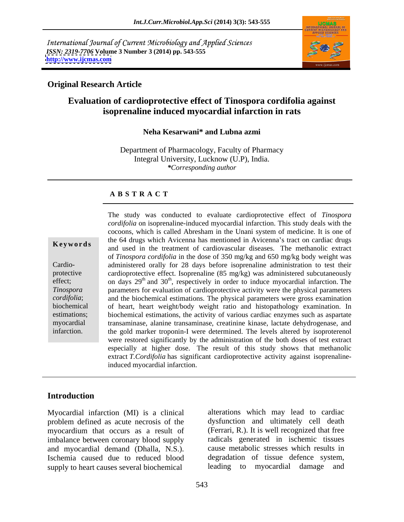International Journal of Current Microbiology and Applied Sciences *ISSN: 2319-7706* **Volume 3 Number 3 (2014) pp. 543-555 <http://www.ijcmas.com>**



### **Original Research Article**

# **Evaluation of cardioprotective effect of Tinospora cordifolia against isoprenaline induced myocardial infarction in rats**

### **Neha Kesarwani\* and Lubna azmi**

Department of Pharmacology, Faculty of Pharmacy Integral University, Lucknow (U.P), India. *\*Corresponding author*

### **A B S T R A C T**

**Keywords** and used in the treatment of cardiovascular diseases. The methanolic extract Cardio- administered orally for 28 days before isoprenaline administration to test their protective cardioprotective effect. Isoprenaline (85 mg/kg) was administered subcutaneously effect; on days  $29<sup>th</sup>$  and  $30<sup>th</sup>$ , respectively in order to induce myocardial infarction. The *Tinospora*  parameters for evaluation of cardioprotective activity were the physical parameters *cordifolia*; and the biochemical estimations.The physical parameters were gross examination biochemical of heart, heart weight/body weight ratio and histopathology examination. In estimations; biochemical estimations, the activity of various cardiac enzymes such as aspartate myocardial transaminase, alanine transaminase, creatinine kinase, lactate dehydrogenase, and The study was conducted to evaluate cardioprotective effect of *Tinospora* cordifolia on isoprenaline-induced myocardial infarction. This study deals with the cocoons, which is called Abresham in the Unani system of medici *cordifolia* on isoprenaline-induced myocardial infarction. This study deals with the cocoons, which is called Abresham in the Unani system of medicine. It is one of the 64 drugs which Avicenna has mentioned in Avicenna's tract on cardiac drugs of *Tinospora cordifolia* in the dose of 350 mg/kg and 650 mg/kg body weight was the gold marker troponin-I were determined. The levels altered by isoproterenol were restored significantly by the administration of the both doses of test extract especially at higher dose. The result of this study shows that methanolic extract *T.Cordifolia* has significant cardioprotective activity against isoprenalineinduced myocardial infarction.

### **Introduction**

Myocardial infarction (MI) is a clinical problem defined as acute necrosis of the myocardium that occurs as a result of imbalance between coronary blood supply and myocardial demand (Dhalla, N.S.). Ischemia caused due to reduced blood degradation of tissue defence system, supply to heart causes several biochemical

alterations which may lead to cardiac dysfunction and ultimately cell death (Ferrari, R.). It is well recognized that free radicals generated in ischemic tissues cause metabolic stresses which results in leading to myocardial damage and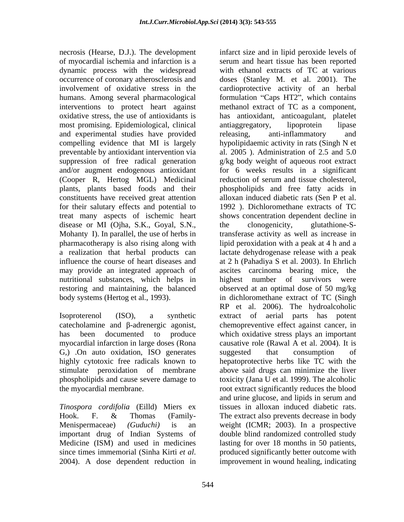necrosis (Hearse, D.J.). The development infarct size and in lipid peroxide levels of dynamic process with the widespread most promising. Epidemiological, clinical antiaggregatory, lipoprotein lipase and experimental studies have provided releasing, anti-inflammatory and for their salutary effects and potential to treat many aspects of ischemic heart disease or MI (Ojha, S.K., Goyal, S.N., the clonogenicity, glutathione-Snutritional substances, which helps in bighest number of survivors were

myocardial infarction in large doses (Rona G<sub>r</sub>) .On auto oxidation, ISO generates suggested that consumption of

*Tinospora cordifolia* (Eilld) Miers ex

of myocardial ischemia and infarction is a serum and heart tissue has been reported occurrence of coronary atherosclerosis and doses (Stanley M. et al. 2001). The involvement of oxidative stress in the cardioprotective activity of an herbal humans. Among several pharmacological formulation "Caps HT2", which contains interventions to protect heart against methanol extract of TC as a component, oxidative stress, the use of antioxidants is has antioxidant, anticoagulant, platelet compelling evidence that MI is largely hypolipidaemic activity in rats (Singh N et preventable by antioxidant intervention via al. 2005 ). Administration of 2.5 and 5.0 suppression of free radical generation g/kg body weight of aqueous root extract and/or augment endogenous antioxidant for 6 weeks results in a significant (Cooper R, Hertog MGL) Medicinal reduction of serum and tissue cholesterol, plants, plants based foods and their phospholipids and free fatty acids in constituents have received great attention alloxan induced diabetic rats (Sen P et al. Mohanty I). In parallel, the use of herbs in transferase activity as well as increase in pharmacotherapy is also rising along with lipid peroxidation with a peak at 4 h and a a realization that herbal products can lactate dehydrogenase release with a peak influence the course of heart diseases and at 2 h (Pahadiya S et al. 2003). In Ehrlich may provide an integrated approach of ascites carcinoma bearing mice, the restoring and maintaining, the balanced observed at an optimal dose of 50 mg/kg body systems (Hertog et al., 1993). in dichloromethane extract of TC (Singh Isoproterenol (ISO), a synthetic extract of aerial parts has potent catecholamine and  $\beta$ -adrenergic agonist, chemopreventive effect against cancer, in has been documented to produce which oxidative stress plays an important highly cytotoxic free radicals known to hepatoprotective herbs like TC with the stimulate peroxidation of membrane above said drugs can minimize the liver phospholipids and cause severe damage to toxicity (Jana U et al. 1999). The alcoholic the myocardial membrane. root extract significantly reduces the blood Hook. F. & Thomas (Family- The extract also prevents decrease in body Menispermaceae) *(Guduchi)* is an weight (ICMR; 2003). In a prospective important drug of Indian Systems of double blind randomized controlled study Medicine (ISM) and used in medicines lasting for over 18 months in 50 patients, since times immemorial (Sinha Kirti *et al*. 2004). A dose dependent reduction in improvement in wound healing, indicating with ethanol extracts of TC at various antiaggregatory, lipoprotein lipase releasing, anti-inflammatory and 1992 ). Dichloromethane extracts of TC shows concentration dependent decline in the clonogenicity, glutathione-Shighest number of survivors were RP et al. 2006). The hydroalcoholic causative role (Rawal A et al. 2004). It is suggested that consumption of and urine glucose, and lipids in serum and tissues in alloxan induced diabetic rats. produced significantly better outcome with improvement in wound healing, indicating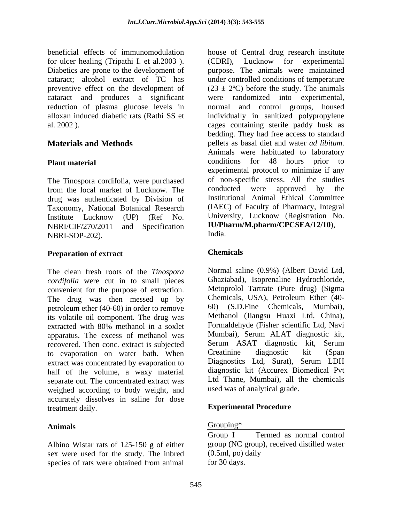beneficial effects of immunomodulation house of Central drug research institute Diabetics are prone to the development of cataract and produces a significant

The Tinospora cordifolia, were purchased of non-specific stress. All the studies from the local market of Lucknow. The conducted were approved by the from the local market of Lucknow. The drug was authenticated by Division of Taxonomy, National Botanical Research NBRI-SOP-202).

### **Preparation of extract Chemicals**

The clean fresh roots of the *Tinospora cordifolia* were cut in to small pieces convenient for the purpose of extraction. Metoprolol Tartrate (Pure drug) (Sigma<br>The drug was then messed up by Chemicals, USA), Petroleum Ether (40-The drug was then messed up by Chemicals, USA), Petroleum Ether  $(40-$ <br>netroleum ether  $(40-60)$  in order to remove  $(60)$   $(S.D.$  Fine Chemicals, Mumbai), petroleum ether (40-60) in order to remove  $\qquad\qquad$  60) (S.D.Fine Chemicals, Mumbai), its volatile oil component. The drug was Methanol (Jiangsu Huaxi Ltd, China), its volatile oil component. The drug was Methanol (Jiangsu Huaxi Ltd, China), extracted with 80% methanol in a soxlet Formaldehyde (Fisher scientific Ltd, Navi extracted with 80% methanol in a soxlet apparatus. The excess of methanol was Mumbai), Serum ALAT diagnostic kit, recovered Then concentrate is subjected Serum ASAT diagnostic kit, Serum recovered. Then conc. extract is subjected Serum ASAT diagnostic kit, Serum<br>to evaporation on water bath When Creatinine diagnostic kit (Span to evaporation on water bath. When Creatinine diagnostic kit (Span<br>extract was concentrated by evaporation to Diagnostics Ltd, Surat), Serum LDH extract was concentrated by evaporation to half of the volume, a waxy material separate out. The concentrated extract was weighed according to body weight, and accurately dissolves in saline for dose treatment daily. **Experimental Procedure**

Albino Wistar rats of 125-150 g of either group (NC group<br>sex were used for the study. The inbred (0.5ml, po) daily sex were used for the study. The inbred species of rats were obtained from animal for 30 days.

for ulcer healing (Tripathi I. et al.2003). (CDRI), Lucknow for experimental cataract; alcohol extract of TC has under controlled conditions of temperature preventive effect on the development of  $(23 \pm 2^{\circ}C)$  before the study. The animals reduction of plasma glucose levels in normal and control groups, housed alloxan induced diabetic rats (Rathi SS et individually in sanitized polypropylene al. 2002 ). cages containing sterile paddy husk as **Materials and Methods** pellets as basal diet and water *ad libitum*.<br>Animals were habituated to laboratory **Plant material** conditions for 48 hours prior to Institute Lucknow (UP) (Ref No. University, Lucknow (Registration No. NBRI/CIF/270/2011 and Specification **IU/Pharm/M.pharm/CPCSEA/12/10**), purpose. The animals were maintained were randomized into experimental, bedding. They had free access to standard pellets as basal diet and water *ad libitum*. Animals were habituated to laboratory experimental protocol to minimize if any of non-specific stress. All the studies conducted were approved by the Institutional Animal Ethical Committee (IAEC) of Faculty of Pharmacy, Integral University, Lucknow (Registration No. India.

### **Chemicals**

Normal saline (0.9%) (Albert David Ltd, Ghaziabad), Isoprenaline Hydrochloride, Metoprolol Tartrate (Pure drug) (Sigma Chemicals, USA), Petroleum Ether (40-  $60$ ) (S.D.Fine Chemicals, Methanol (Jiangsu Huaxi Ltd, China), Formaldehyde (Fisher scientific Ltd, Navi Mumbai), Serum ALAT diagnostic kit, Serum ASAT diagnostic kit, Serum Creatinine diagnostic kit (Span Diagnostics Ltd, Surat), Serum LDH diagnostic kit (Accurex Biomedical Pvt Ltd Thane, Mumbai), all the chemicals used was of analytical grade.

### Animals and the contract of the Crouping<sup>\*</sup> **Contract of the Contract of the Contract of the Contract of the Contract of the Contract of the Contract of the Contract of the Contract of the Contract of the Contract of the C** Grouping\* The contract of the contract of the contract of the contract of the contract of the contract of the contract of the contract of the contract of the contract of the contract of the contract of the contract of the

Group  $I -$  Termed as normal control group (NC group), received distilled water (0.5ml, po) daily for 30 days.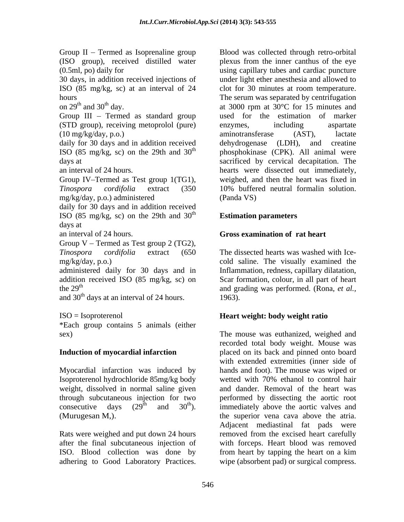Group II – Termed as Isoprenaline group Blood was collected through retro-orbital (ISO group), received distilled water (0.5ml, po) daily for using capillary tubes and cardiac puncture 30 days, in addition received injections of under light ether anesthesia and allowed to ISO (85 mg/kg, sc) at an interval of 24 hours The serum was separated by centrifugation on  $29<sup>th</sup>$  and  $30<sup>th</sup>$  day. <br>at 3000 rpm at  $30<sup>o</sup>C$  for 15 minutes and Group  $III$  – Termed as standard group (STD group), receiving metoprolol (pure) (10 mg/kg/day, p.o.) daily for 30 days and in addition received dehydrogenase (LDH), and creatine ISO (85 mg/kg, sc) on the 29th and  $30<sup>th</sup>$  phosphokinase (CPK). All animal were days at sacrificed by cervical decapitation. The an interval of 24 hours. hearts were dissected out immediately, Group IV–Termed as Test group 1(TG1), weighed, and then the heart was fixed in *Tinospora cordifolia* extract (350 10% buffered neutral formalin solution. mg/kg/day, p.o.) administered daily for 30 days and in addition received ISO (85 mg/kg, sc) on the 29th and  $30<sup>th</sup>$ days at an interval of 24 hours. **Gross examination of rat heart** Group  $V$  – Termed as Test group 2 (TG2), *Tinospora cordifolia* extract (650 The dissected heartswas washed with Ice mg/kg/day, p.o.) cold saline. The visually examined the administered daily for 30 days and in Inflammation, redness, capillary dilatation, addition received ISO (85 mg/kg, sc) on Scar formation, colour, in all part of heart the 29<sup>th</sup> and grading was performed. (Rona, *et al.*, and  $30<sup>th</sup>$  days at an interval of 24 hours. 1963). ISO = Isoproterenol **Heart weight: body weight ratio** \*Each group contains 5 animals (either sex) The mouse was euthanized, weighed and **Induction of myocardial infarction** placed on its back and pinned onto board Group II Termed as Teaty end and the sole content in the sole of the sole and content of 0.55 mg/s (a) and y collected through retro-orbital one of the sole of the sole of the sole of the sole of the sole of the sole of t

Isoproterenol hydrochloride 85mg/kg body weight, dissolved in normal saline given

ISO. Blood collection was done by from heart by tapping the heart on a kim

plexus from the inner canthus of the eye clot for 30 minutes at room temperature. used for the estimation of marker enzymes, including aspartate aminotransferase (AST), lactate dehydrogenase (LDH), and creatine (Panda VS)

### $\mathbf{E}$  time time proportions **Estimation parameters**

1963).

Myocardial infarction was induced by hands and foot). The mouse was wiped or through subcutaneous injection for two performed by dissecting the aortic root consecutive days  $(29^{\text{th}}$  and  $30^{\text{th}})$ . immediately above the aortic valves and (Murugesan M,). the superior vena cava above the atria. Rats were weighed and put down 24 hours removed from the excised heart carefully after the final subcutaneous injection of with forceps. Heart blood was removed recorded total body weight. Mouse was with extended extremities (inner side of wetted with 70% ethanol to control hair and dander. Removal of the heart was Adjacent mediastinal fat pads were from heart by tapping the heart on a kim wipe (absorbent pad) or surgical compress.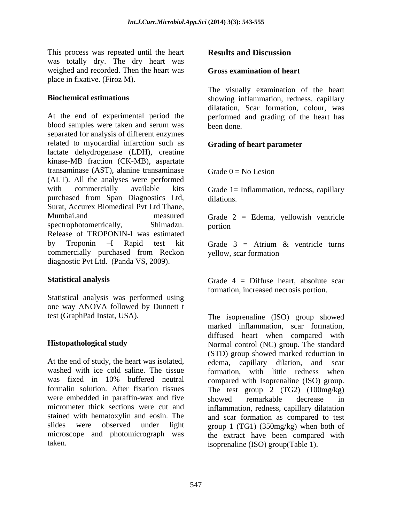This process was repeated until the heart **Results and Discussion** was totally dry. The dry heart was weighed and recorded. Then the heart was place in fixative. (Firoz M).

At the end of experimental period the performed and grading of the heart has blood samples were taken and serum was separated for analysis of different enzymes related to myocardial infarction such as **Grading of heart parameter** lactate dehydrogenase (LDH), creatine kinase-MB fraction (CK-MB), aspartate transaminase (AST), alanine transaminase  $Grade 0 = No Lesion$ (ALT). All the analyses were performed with commercially available kits Grade 1 = Inflammation, redness, capillary purchased from Span Diagnostics Ltd, Surat, Accurex Biomedical Pvt Ltd Thane, Mumbai.and measured Grade 2 = Edema, yellowish ventricle spectrophotometrically, Shimadzu. portion Release of TROPONIN-I was estimated by Troponin  $-I$  Rapid test kit Grade  $3 =$  Atrium  $\&$  ventricle turns commercially purchased from Reckon yellow, scar formation diagnostic Pvt Ltd. (Panda VS, 2009). This process was repeated until the beart<br>
was cotally dry. The dry heart was<br>
wear socially dry. The dry heat was<br>
wear socially examination of heart<br>
prison in racented. Then the bear was<br>
Hostenwired estimations<br>
Hosten

Statistical analysis was performed using one way ANOVA followed by Dunnett t

At the end of study, the heart was isolated, edema. washed with ice cold saline. The tissue formation, with little redness when was fixed in 10% buffered neutral compared with Isoprenaline (ISO) group. formalin solution. After fixation tissues The test group 2 (TG2) (100mg/kg) were embedded in paraffin-wax and five showed remarkable decrease in micrometer thick sections were cut and inflammation, redness, capillary dilatation stained with hematoxylin and eosin. The and scar formation as compared to test slides were observed under light group 1 (TG1) (350mg/kg) when both of microscope and photomicrograph was the extract have been compared with

### **Gross examination of heart**

**Biochemical estimations** showing inflammation, redness, capillary The visually examination of the heart dilatation, Scar formation, colour, was been done.

# **Grading of heart parameter**

Grade  $0 = No$  Lesion

dilations.

portion and the contract of the contract of the contract of the contract of the contract of the contract of the contract of the contract of the contract of the contract of the contract of the contract of the contract of th

Grade 3 = Atrium & ventricle turns yellow, scar formation

**Statistical analysis** Grade 4 = Diffuse heart, absolute scar formation, increased necrosis portion.

test (GraphPad Instat, USA). The isoprenaline (ISO) group showed **Histopathological study** Normal control (NC) group. The standard marked inflammation, scar formation, diffused heart when compared with (STD) group showed marked reduction in capillary dilation, and scar showed remarkable decrease in isoprenaline (ISO) group(Table 1).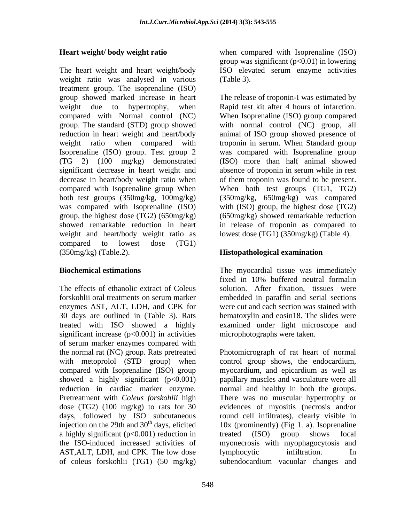The heart weight and heart weight/body ISO elevated serum enzyme activities weight ratio was analysed in various (Table 3). treatment group. The isoprenaline (ISO) weight and heart/body weight ratio as compared to lowest dose (TG1) (350mg/kg) (Table.2). **Histopathological examination**

enzymes AST, ALT, LDH, and CPK for significant increase  $(p<0.001)$  in activities of serum marker enzymes compared with with metoprolol (STD group) when compared with Isoprenaline (ISO) group myocardium, and epicardium as well as showed a highly significant  $(p<0.001)$ injection on the 29th and  $30<sup>th</sup>$  days, elicited a highly significant (p<0.001) reduction in treated (ISO) group shows focal AST, ALT, LDH, and CPK. The low dose lymphocytic infiltration. In

**Heart weight/ body weight ratio** when compared with Isoprenaline (ISO) group was significant  $(p<0.01)$  in lowering (Table 3).

group showed marked increase in heart The release of troponin-I was estimated by weight due to hypertrophy, when Rapid test kit after 4 hours of infarction. compared with Normal control (NC) When Isoprenaline (ISO) group compared group. The standard (STD) group showed with normal control (NC) group, all reduction in heart weight and heart/body animal of ISO group showed presence of weight ratio when compared with troponin in serum. When Standard group Isoprenaline (ISO) group. Test group 2 was compared with Isoprenaline group (TG 2) (100 mg/kg) demonstrated (ISO) more than half animal showed significant decrease in heart weight and absence of troponin in serum while in rest decrease in heart/body weight ratio when of them troponin was found to be present. compared with Isoprenaline group When When both test groups (TG1, TG2) both test groups (350mg/kg, 100mg/kg) (350mg/kg, 650mg/kg) was compared was compared with Isoprenaline (ISO) with (ISO) group, the highest dose (TG2) group, the highest dose (TG2) (650mg/kg) (650mg/kg) showed remarkable reduction showed remarkable reduction in heart in release of troponin as compared to lowest dose (TG1) (350mg/kg) (Table 4).

**Biochemical estimations** The myocardial tissue was immediately The effects of ethanolic extract of Coleus solution. After fixation, tissues were forskohlii oral treatments on serum marker 30 days are outlined in (Table 3). Rats hematoxylin and eosin18. The slides were treated with ISO showed a highly examined under light microscope and fixed in 10% buffered neutral formalin embedded in paraffin and serial sections were cut and each section was stained with microphotographs were taken.

the normal rat (NC) group. Rats pretreated Photomicrograph of rat heart of normal reduction in cardiac marker enzyme. normal and healthy in both the groups. Pretreatment with *Coleus forskohlii* high There was no muscular hypertrophy or dose (TG2) (100 mg/kg) to rats for 30 evidences of myositis (necrosis and/or days, followed by ISO subcutaneous round cell infiltrates), clearly visible in the ISO-induced increased activities of myonecrosis with myophagocytosis and of coleus forskohlii (TG1) (50 mg/kg) subendocardium vacuolar changes andcontrol group shows, the endocardium, myocardium, and epicardium as well as papillary muscles and vasculature were all 10x (prominently) (Fig 1. a). Isoprenaline treated (ISO) group shows focal lymphocytic infiltration. In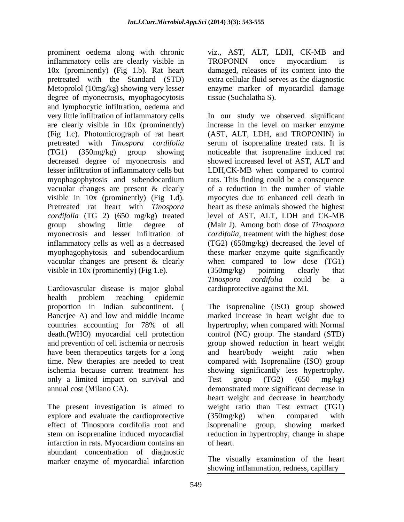prominent oedema along with chronic viz., AST, ALT, LDH, CK-MB and inflammatory cells are clearly visible in TROPONIN once myocardium is 10x (prominently) **(**Fig 1.b). Rat heart pretreated with the Standard (STD) extra cellular fluid serves as the diagnostic Metoprolol (10mg/kg) showing very lesser enzyme marker of myocardial damage degree of myonecrosis, myophagocytosis and lymphocytic infiltration, oedema and very little infiltration of inflammatory cells In our study we observed significant are clearly visible in 10x (prominently) (Fig 1.c). Photomicrograph of rat heart (AST, ALT, LDH, and TROPONIN) in pretreated with *Tinospora cordifolia*  serum of isoprenaline treated rats. It is (TG1) (350mg/kg) group showing noticeable that isoprenaline induced rat decreased degree of myonecrosis and showed increased level of AST, ALT and lesser infiltration of inflammatory cells but LDH,CK-MB when compared to control myophagophytosis and subendocardium vacuolar changes are present & clearly of a reduction in the number of viable visible in 10x (prominently) (Fig 1.d). myocytes due to enhanced cell death in Pretreated rat heart with *Tinospora*  heart as these animals showed the highest *cordifolia* (TG 2) (650 mg/kg) treated group showing little degree of (Mair J). Among both dose of *Tinospora*  myonecrosis and lesser infiltration of *cordifolia,* treatment with the highest dose inflammatory cells as well as a decreased (TG2) (650mg/kg) decreased the level of myophagophytosis and subendocardium these marker enzyme quite significantly vacuolar changes are present & clearly visible in 10x (prominently) (Fig 1.e). (350mg/kg) pointing clearly that

Cardiovascular disease is major global health problem reaching epidemic proportion in Indian subcontinent. ( The isoprenaline (ISO) group showed Banerjee A) and low and middle income marked increase in heart weight due to countries accounting for 78% of all death.(WHO) myocardial cell protection control (NC) group. The standard (STD) and prevention of cell ischemia or necrosis have been therapeutics targets for a long and heart/body weight ratio when time. New therapies are needed to treat compared with Isoprenaline (ISO) group ischemia because current treatment has showing significantly less hypertrophy. only a limited impact on survival and Test group (TG2) (650 mg/kg) annual cost (Milano CA). demonstrated more significant decrease in

explore and evaluate the cardioprotective (350mg/kg) when compared with effect of Tinospora cordifolia root and isoprenaline group, showing marked infarction in rats. Myocardium contains an abundant concentration of diagnostic marker enzyme of myocardial infarction

TROPONIN once myocardium is damaged, releases of its content into the tissue (Suchalatha S).

increase in the level on marker enzyme rats. This finding could be a consequence level of AST, ALT, LDH and CK-MB when compared to low dose (TG1) (350mg/kg) pointing clearly that *Tinospora cordifolia* could be a cardioprotective against the MI.

The present investigation is aimed to weight ratio than Test extract (TG1) stem on isoprenaline induced myocardial reduction in hypertrophy, change in shape hypertrophy, when compared with Normal group showed reduction in heart weight and heart/body weight ratio when Test group (TG2) (650 mg/kg) heart weight and decrease in heart/body (350mg/kg) when compared with isoprenaline group, showing marked of heart.

> The visually examination of the heart showing inflammation, redness, capillary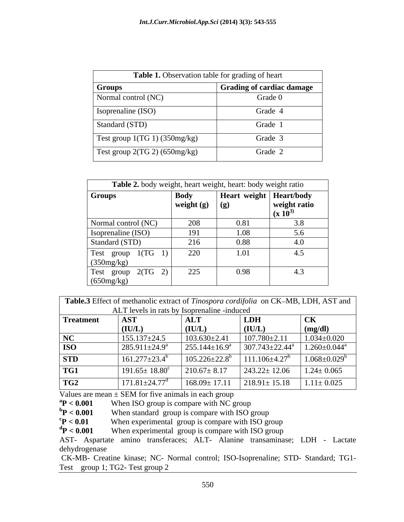| Table 1. Observation table for grading of heart |                                  |  |  |
|-------------------------------------------------|----------------------------------|--|--|
| <b>Groups</b>                                   | <b>Grading of cardiac damage</b> |  |  |
| Normal control (NC)                             | Grade 0                          |  |  |
| Isoprenaline (ISO)                              | Grade 4                          |  |  |
| Standard (STD)                                  | Grade 1                          |  |  |
| Test group $1(TG 1)$ (350mg/kg)                 | Grade 3                          |  |  |
| Test group $2(TG 2)$ (650mg/kg)                 | Grade 2                          |  |  |

| Table 2. body weight, heart weight, heart: body weight ratio |                               |                           |                                           |
|--------------------------------------------------------------|-------------------------------|---------------------------|-------------------------------------------|
| <b>Groups</b>                                                | Body<br>weight (g) $\mid$ (g) | Heart weight   Heart/body | weight ratio<br>$(\mathbf{x} 10^{\circ})$ |
| Normal control (NC)                                          | 208                           | 0.81                      | 3.8                                       |
| Isoprenaline (ISO)                                           | 191                           | 1.08                      | 5.6                                       |
| Standard (STD)                                               | 216                           | 0.88                      | 4.0                                       |
| Test group 1(TG 1)<br>(350mg/kg)                             | 220                           | 1.01                      | 4.5                                       |
| Test group $2(TG \t2)$<br>(650mg/kg)                         | 225                           | 0.98                      | 4.3                                       |

Table.3 Effect of methanolic extract of *Tinospora cordifolia* on CK-MB, LDH, AST and ALT levels in rats by Isoprenaline -induced

| <b>AST</b>                 | <b>ALT</b>                      | L <sub>DH</sub>                                       | CK                                                                                                                 |
|----------------------------|---------------------------------|-------------------------------------------------------|--------------------------------------------------------------------------------------------------------------------|
| (IU/L)                     | $\boldsymbol{A}$<br>TUITI       | (IU/L)                                                | $\text{ (mg/dl)}$                                                                                                  |
| $155.137 \pm 24.5$         | $103.630 \pm 2.41$              | $107.780 \pm 2.11$                                    | $1.034 \pm 0.020$                                                                                                  |
| 285.911±24.9 <sup>a</sup>  | $255.144 \pm 16.9^{\circ}$      |                                                       |                                                                                                                    |
| $161.277 \pm 23.4^{\circ}$ | $105.226 \pm 22.8$ <sup>b</sup> | $11.106 \pm 4.27$ <sup>b</sup>                        | $1.068 \pm 0.029^b$                                                                                                |
| $191.65 \pm 18.80$         | $210.67 \pm 8.17$               | $243.22 \pm 12.06$                                    | $1.24 \pm 0.065$                                                                                                   |
|                            |                                 | $218.91 \pm 15.18$ $1.11 \pm 0.025$                   |                                                                                                                    |
|                            |                                 | 171.81 $\pm$ 24.77 <sup>d</sup><br>$168.09 \pm 17.11$ | $11.1$ TV $10.0$ $11.1$ Tutto $0.1$ Tooptermanne measured<br>$307.743 \pm 22.44^{\circ}$ $1.260 \pm 0.044^{\circ}$ |

Values are mean  $\pm$  SEM for five animals in each group<br><sup>a</sup>  $P < 0.001$  When ISO group is compare with NC g

 ${}^{a}P < 0.001$  When ISO group is compare with NC group<br> ${}^{b}P < 0.001$  When standard group is compare with ISO g

 $\rm{^{b}P}$  < 0.001 When standard group is compare with ISO group  $\rm{^{c}P}$  < 0.01 When experimental group is compare with ISO group

When experimental group is compare with ISO group

 $\text{d}P < 0.001$  When experimental group is compare with ISO group

AST- Aspartate amino transferaces; ALT- Alanine transaminase; LDH - Lactate dehydrogenase

CK-MB- Creatine kinase; NC- Normal control; ISO-Isoprenaline; STD- Standard; TG1- Test group 1; TG2- Test group 2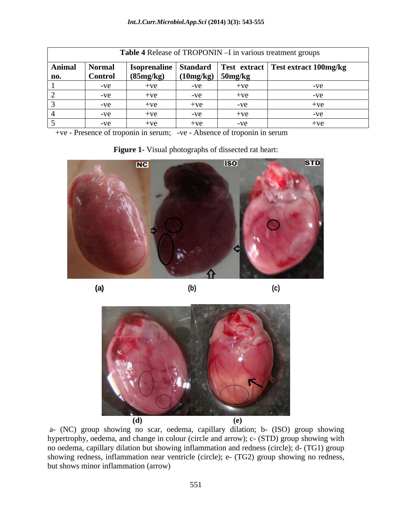| Table 4 Release of TROPONIN - I in various treatment groups |               |           |                     |       |                                                                |  |  |  |
|-------------------------------------------------------------|---------------|-----------|---------------------|-------|----------------------------------------------------------------|--|--|--|
| <b>Animal</b>                                               | <b>Normal</b> |           |                     |       | Isoprenaline   Standard   Test extract   Test extract 100mg/kg |  |  |  |
| no.                                                         | Control       | (85mg/kg) | $(10mg/kg)$ 50mg/kg |       |                                                                |  |  |  |
|                                                             | $-ve$         | $+ve$     | -ve                 | $+ve$ |                                                                |  |  |  |
|                                                             | $-ve$         | $+ve$     | $-ve$               | $+ve$ |                                                                |  |  |  |
|                                                             | -ve           | $+ve$     | $+ve$               | $-ve$ |                                                                |  |  |  |
|                                                             | $-ve$         | $+ve$     | -ve                 | $+ve$ |                                                                |  |  |  |
|                                                             | $-ve$         | $+ve$     | $+ve$               | $-ve$ |                                                                |  |  |  |

+ve - Presence of troponin in serum; -ve - Absence of troponin in serum

| <b>ISO</b><br>$NC$ | <b>STD</b> |
|--------------------|------------|
|                    |            |
|                    |            |
|                    |            |

**(a) (b) (c)**

**Figure 1-** Visual photographs of dissected rat heart:



a- (NC) group showing no scar, oedema, capillary dilation; b- (ISO) group showing hypertrophy, oedema, and change in colour (circle and arrow); c- (STD) group showing with no oedema, capillary dilation but showing inflammation and redness (circle); d- (TG1) group showing redness, inflammation near ventricle (circle); e- (TG2) group showing no redness, but shows minor inflammation (arrow)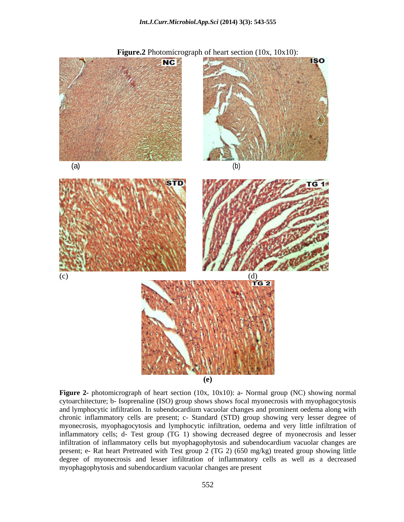

**Figure 2-** photomicrograph of heart section (10x, 10x10): a- Normal group (NC) showing normal cytoarchitecture; b- Isoprenaline (ISO) group shows shows focal myonecrosis with myophagocytosis and lymphocytic infiltration. In subendocardium vacuolar changes and prominent oedema along with chronic inflammatory cells are present; c- Standard (STD) group showing very lesser degree of myonecrosis, myophagocytosis and lymphocytic infiltration, oedema and very little infiltration of inflammatory cells; d- Test group (TG 1) showing decreased degree of myonecrosis and lesser infiltration of inflammatory cells but myophagophytosis and subendocardium vacuolar changes are present; e- Rat heart Pretreated with Test group 2 (TG 2) (650 mg/kg) treated group showing little degree of myonecrosis and lesser infiltration of inflammatory cells as well as a decreased myophagophytosis and subendocardium vacuolar changes are present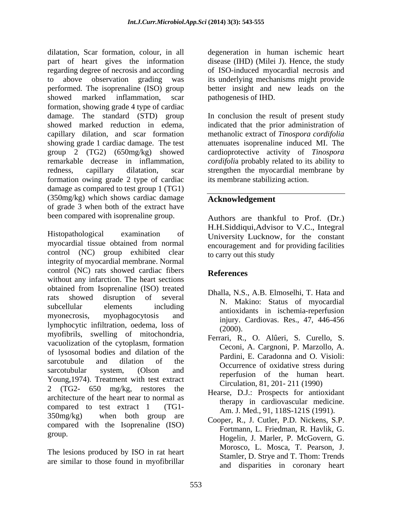dilatation, Scar formation, colour, in all degeneration in human ischemic heart part of heart gives the information disease (IHD) (Milei J). Hence, the study regarding degree of necrosis and according to above observation grading was its underlying mechanisms might provide performed. The isoprenaline (ISO) group better insight and new leads on the showed marked inflammation, scar pathogenesis of IHD. formation, showing grade 4 type of cardiac damage. The standard (STD) group In conclusion the result of present study showed marked reduction in edema, indicated that the prior administration of capillary dilation, and scar formation methanolic extract of *Tinospora cordifolia* showing grade 1 cardiac damage. The test group 2 (TG2) (650mg/kg) showed cardioprotective activity of *Tinospora*  remarkable decrease in inflammation, redness, capillary dilatation, scar strengthen the myocardial membrane by formation owing grade 2 type of cardiac damage as compared to test group 1 (TG1) (350mg/kg) which shows cardiac damage of grade 3 when both of the extract have been compared with isoprenaline group.

Histopathological examination of University Lucknow, for the constant myocardial tissue obtained from normal control (NC) group exhibited clear integrity of myocardial membrane. Normal control (NC) rats showed cardiac fibers References without any infarction. The heart sections obtained from Isoprenaline (ISO) treated rats showed disruption of several M. Makino: Status of myogardial subcellular elements including in maximum subcellular elements including myonecrosis, myophagocytosis and minimized constraints and minimized and minimized methods and minimized methods and  $\frac{1}{2}$  and  $\frac{1}{2}$  and  $\frac{1}{2}$  and  $\frac{1}{2}$  and  $\frac{1}{2}$  and  $\frac{1}{2}$  and  $\frac{1}{2}$  and  $\frac{1}{2$ lymphocytic infiltration, oedema, loss of  $\frac{m_1m_2}{2000}$ . myofibrils, swelling of mitochondria, vacuolization of the cytoplasm, formation of lysosomal bodies and dilation of the sarcotubule and dilation of the  $\alpha$  contraring of exidence diving sarcotubular system, (Olson and cocalities of the human heart Young,1974). Treatment with test extract 2 (TG2- 650 mg/kg, restores the architecture of the heart near to normal as compared to test extract 1 (TG1-  $350$ mg/kg) when both group are  $\overline{C_{\text{congr}}}$  P I  $\overline{C_{\text{other}}}$  P Nickans S P compared with the Isoprenaline (ISO)

The lesions produced by ISO in rat heart are similar to those found in myofibrillar

of ISO-induced myocardial necrosis and pathogenesis of IHD.

attenuates isoprenaline induced MI. The *cordifolia* probably related to its ability to its membrane stabilizing action.

# **Acknowledgement**

Authors are thankful to Prof. (Dr.) H.H.Siddiqui,Advisor to V.C., Integral encouragement and for providing facilities to carry out this study

# **References**

- Dhalla, N.S., A.B. Elmoselhi, T. Hata and N. Makino: Status of myocardial antioxidants in ischemia-reperfusion injury. Cardiovas. Res., 47, 446-456 (2000).
- Ferrari, R., O. Alûeri, S. Curello, S. Ceconi, A. Cargnoni, P. Marzollo, A. Pardini, E. Caradonna and O. Visioli: Occurrence of oxidative stress during reperfusion of the human heart. Circulation, 81, 201- 211 (1990)
- Hearse, D.J.: Prospects for antioxidant therapy in cardiovascular medicine. Am. J. Med., 91, 118S-121S (1991).
- group. Hogelin, J. Marler, P. McGovern, G. Cooper, R., J. Cutler, P.D. Nickens, S.P. Fortmann, L. Friedman, R. Havlik, G. Morosco, L. Mosca, T. Pearson, J. Stamler, D. Strye and T. Thom: Trends and disparities in coronary heart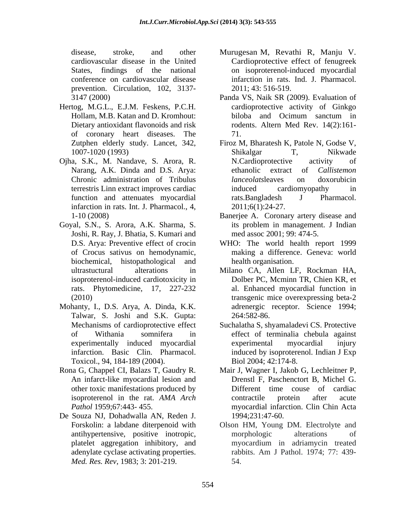prevention. Circulation, 102, 3137-

- Hertog, M.G.L., E.J.M. Feskens, P.C.H. of coronary heart diseases. The
- Ojha, S.K., M. Nandave, S. Arora, R. infarction in rats. Int. J. Pharmacol., 4, 2011;6(1):24-27.
- Goyal, S.N., S. Arora, A.K. Sharma, S. Joshi, R. Ray, J. Bhatia, S. Kumari and biochemical, histopathological and
- Mohanty, I., D.S. Arya, A. Dinda, K.K. Talwar, S. Joshi and S.K. Gupta: 264:582-86. Toxicol., 94, 184-189 (2004).
- other toxic manifestations produced by
- De Souza NJ, Dohadwalla AN, Reden J. *Med. Res. Rev*, 1983; 3: 201-219.
- disease, stroke, and other Murugesan M, Revathi R, Manju V. cardiovascular disease in the United Cardioprotective effect of fenugreek States, findings of the national on isoproterenol-induced myocardial conference on cardiovascular disease infarction in rats. Ind. J. Pharmacol. 2011; 43: 516-519.
- 3147 (2000) Panda VS, Naik SR (2009). Evaluation of Hollam, M.B. Katan and D. Kromhout: Dietary antioxidant flavonoids and risk rodents. Altern Med Rev. 14(2):161cardioprotective activity of Ginkgo biloba and Ocimum sanctum in 71.
- Zutphen elderly study. Lancet, 342, Firoz M, Bharatesh K, Patole N, Godse V, 1007-1020 (1993) Narang, A.K. Dinda and D.S. Arya: ethanolic extract of *Callistemon* Chronic administration of Tribulus *lanceolats* leaves on doxorubicin terrestris Linn extract improves cardiac function and attenuates myocardial rats. Bangladesh J Pharmacol. Shikalgar T, Nikwade N.Cardioprotective activity of ethanolic extract of *Callistemon lanceolats*leaves on doxorubicin induced cardiomyopathy in rats.Bangladesh <sup>J</sup> Pharmacol. 2011;6(1):24-27.
- 1-10 (2008) Banerjee A. Coronary artery disease and its problem in management. J Indian med assoc 2001; 99: 474-5.
- D.S. Arya: Preventive effect of crocin WHO: The world health report 1999 of Crocus sativus on hemodynamic, making a difference. Geneva: world health organisation.
- ultrastuctural alterations in Milano CA, Allen LF, Rockman HA, isoproterenol-induced cardiotoxicity in Dolber PC, Mcminn TR, Chien KR, et rats. Phytomedicine, 17, 227-232 al. Enhanced myocardial function in (2010) transgenic mice overexpressing beta-2 adrenergic receptor. Science 1994; 264:582-86.
- Mechanisms of cardioprotective effect Suchalatha S, shyamaladevi CS. Protective of Withania somnifera in effect of terminalia chebula against experimentally induced myocardial infarction. Basic Clin. Pharmacol. induced by isoproterenol. Indian J Exp experimental myocardial injury Biol 2004; 42:174-8.
- Rona G, Chappel CI, Balazs T, Gaudry R. Mair J, Wagner I, Jakob G, Lechleitner P, An infarct-like myocardial lesion and Drenstl F, Paschenctort B, Michel G. isoproterenol in the rat. *AMA Arch* Pathol 1959;67:443-455. myocardial infarction. Clin Chin Acta Different time couse of cardiac contractile protein after acute 1994;231:47-60.
	- Forskolin: a labdane diterpenoid with Olson HM, Young DM. Electrolyte and antihypertensive, positive inotropic, platelet aggregation inhibitory, and adenylate cyclase activating properties. Tabbits. Am J Pathol. 1974; 77: 439morphologic alterations of myocardium in adriamycin treated rabbits. Am J Pathol. 1974; 77: 439- 54.